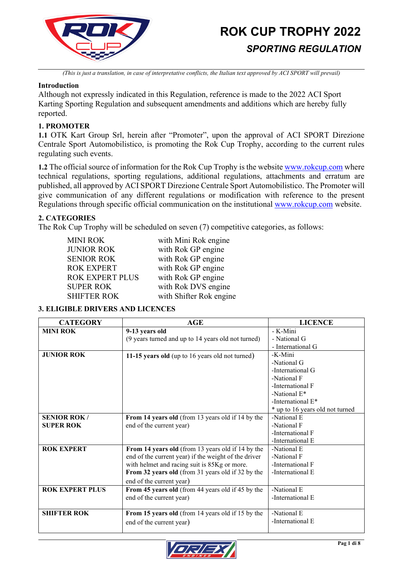

*(This is just a translation, in case of interpretative conflicts, the Italian text approved by ACI SPORT will prevail)*

### **Introduction**

Although not expressly indicated in this Regulation, reference is made to the 2022 ACI Sport Karting Sporting Regulation and subsequent amendments and additions which are hereby fully reported.

# **1. PROMOTER**

**1.1** OTK Kart Group Srl, herein after "Promoter", upon the approval of ACI SPORT Direzione Centrale Sport Automobilistico, is promoting the Rok Cup Trophy, according to the current rules regulating such events.

**1.2** The official source of information for the Rok Cup Trophy is the websit[e www.rokcup.com](http://www.rokcup.com/) where technical regulations, sporting regulations, additional regulations, attachments and erratum are published, all approved by ACI SPORT Direzione Centrale Sport Automobilistico. The Promoter will give communication of any different regulations or modification with reference to the present Regulations through specific official communication on the institutional [www.rokcup.com](http://www.rokcup.com/) website.

# **2. CATEGORIES**

The Rok Cup Trophy will be scheduled on seven (7) competitive categories, as follows:

| <b>MINI ROK</b>        | with Mini Rok engine    |
|------------------------|-------------------------|
| <b>JUNIOR ROK</b>      | with Rok GP engine      |
| <b>SENIOR ROK</b>      | with Rok GP engine      |
| <b>ROK EXPERT</b>      | with Rok GP engine      |
| <b>ROK EXPERT PLUS</b> | with Rok GP engine      |
| <b>SUPER ROK</b>       | with Rok DVS engine     |
| <b>SHIFTER ROK</b>     | with Shifter Rok engine |

# **3. ELIGIBLE DRIVERS AND LICENCES**

| <b>CATEGORY</b>        | <b>AGE</b>                                           | <b>LICENCE</b>                  |
|------------------------|------------------------------------------------------|---------------------------------|
| <b>MINI ROK</b>        | 9-13 years old                                       | - K-Mini                        |
|                        | (9 years turned and up to 14 years old not turned)   | - National G                    |
|                        |                                                      | - International G               |
| <b>JUNIOR ROK</b>      | 11-15 years old (up to 16 years old not turned)      | -K-Mini                         |
|                        |                                                      | -National G                     |
|                        |                                                      | -International G                |
|                        |                                                      | -National F                     |
|                        |                                                      | -International F                |
|                        |                                                      | -National $E^*$                 |
|                        |                                                      | -International E*               |
|                        |                                                      | * up to 16 years old not turned |
| <b>SENIOR ROK/</b>     | From 14 years old (from 13 years old if 14 by the    | -National E                     |
| <b>SUPER ROK</b>       | end of the current year)                             | -National F                     |
|                        |                                                      | -International F                |
|                        |                                                      | -International E                |
| <b>ROK EXPERT</b>      | From 14 years old (from 13 years old if 14 by the    | -National E                     |
|                        | end of the current year) if the weight of the driver | -National F                     |
|                        | with helmet and racing suit is 85Kg or more.         | -International F                |
|                        | From 32 years old (from 31 years old if 32 by the    | -International E                |
|                        | end of the current year)                             |                                 |
| <b>ROK EXPERT PLUS</b> | From 45 years old (from 44 years old if 45 by the    | -National E                     |
|                        | end of the current year)                             | -International E                |
|                        |                                                      |                                 |
| <b>SHIFTER ROK</b>     | From 15 years old (from 14 years old if 15 by the    | -National E                     |
|                        | end of the current year)                             | -International E                |
|                        |                                                      |                                 |

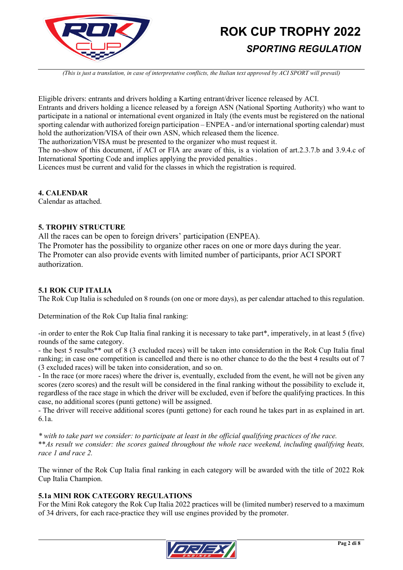

*(This is just a translation, in case of interpretative conflicts, the Italian text approved by ACI SPORT will prevail)*

Eligible drivers: entrants and drivers holding a Karting entrant/driver licence released by ACI. Entrants and drivers holding a licence released by a foreign ASN (National Sporting Authority) who want to participate in a national or international event organized in Italy (the events must be registered on the national sporting calendar with authorized foreign participation – ENPEA - and/or international sporting calendar) must hold the authorization/VISA of their own ASN, which released them the licence.

The authorization/VISA must be presented to the organizer who must request it.

The no-show of this document, if ACI or FIA are aware of this, is a violation of art.2.3.7.b and 3.9.4.c of International Sporting Code and implies applying the provided penalties .

Licences must be current and valid for the classes in which the registration is required.

#### **4. CALENDAR**

Calendar as attached.

#### **5. TROPHY STRUCTURE**

All the races can be open to foreign drivers' participation (ENPEA).

The Promoter has the possibility to organize other races on one or more days during the year. The Promoter can also provide events with limited number of participants, prior ACI SPORT authorization.

# **5.1 ROK CUP ITALIA**

The Rok Cup Italia is scheduled on 8 rounds (on one or more days), as per calendar attached to this regulation.

Determination of the Rok Cup Italia final ranking:

-in order to enter the Rok Cup Italia final ranking it is necessary to take part\*, imperatively, in at least 5 (five) rounds of the same category.

- the best 5 results\*\* out of 8 (3 excluded races) will be taken into consideration in the Rok Cup Italia final ranking; in case one competition is cancelled and there is no other chance to do the the best 4 results out of 7 (3 excluded races) will be taken into consideration, and so on.

- In the race (or more races) where the driver is, eventually, excluded from the event, he will not be given any scores (zero scores) and the result will be considered in the final ranking without the possibility to exclude it, regardless of the race stage in which the driver will be excluded, even if before the qualifying practices. In this case, no additional scores (punti gettone) will be assigned.

- The driver will receive additional scores (punti gettone) for each round he takes part in as explained in art. 6.1a.

*\* with to take part we consider: to participate at least in the official qualifying practices of the race.* \*\**As result we consider: the scores gained throughout the whole race weekend, including qualifying heats, race 1 and race 2.*

The winner of the Rok Cup Italia final ranking in each category will be awarded with the title of 2022 Rok Cup Italia Champion.

# **5.1a MINI ROK CATEGORY REGULATIONS**

For the Mini Rok category the Rok Cup Italia 2022 practices will be (limited number) reserved to a maximum of 34 drivers, for each race-practice they will use engines provided by the promoter.

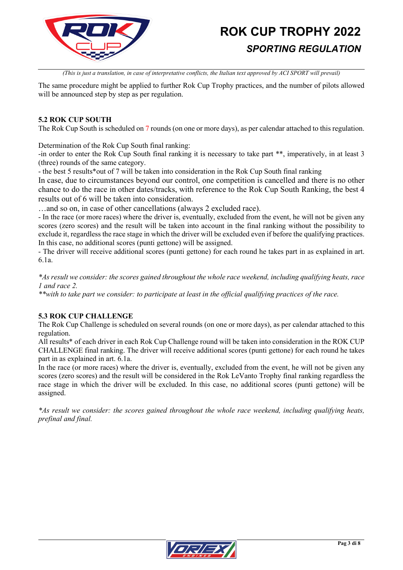

*(This is just a translation, in case of interpretative conflicts, the Italian text approved by ACI SPORT will prevail)*

The same procedure might be applied to further Rok Cup Trophy practices, and the number of pilots allowed will be announced step by step as per regulation.

#### **5.2 ROK CUP SOUTH**

The Rok Cup South is scheduled on 7 rounds (on one or more days), as per calendar attached to this regulation.

Determination of the Rok Cup South final ranking:

-in order to enter the Rok Cup South final ranking it is necessary to take part \*\*, imperatively, in at least 3 (three) rounds of the same category.

- the best 5 results\*out of 7 will be taken into consideration in the Rok Cup South final ranking

In case, due to circumstances beyond our control, one competition is cancelled and there is no other chance to do the race in other dates/tracks, with reference to the Rok Cup South Ranking, the best 4 results out of 6 will be taken into consideration.

…and so on, in case of other cancellations (always 2 excluded race).

- In the race (or more races) where the driver is, eventually, excluded from the event, he will not be given any scores (zero scores) and the result will be taken into account in the final ranking without the possibility to exclude it, regardless the race stage in which the driver will be excluded even if before the qualifying practices. In this case, no additional scores (punti gettone) will be assigned.

- The driver will receive additional scores (punti gettone) for each round he takes part in as explained in art. 6.1a.

*\*As result we consider: the scores gained throughout the whole race weekend, including qualifying heats, race 1 and race 2.*

*\*\*with to take part we consider: to participate at least in the official qualifying practices of the race.*

# **5.3 ROK CUP CHALLENGE**

The Rok Cup Challenge is scheduled on several rounds (on one or more days), as per calendar attached to this regulation.

All results\* of each driver in each Rok Cup Challenge round will be taken into consideration in the ROK CUP CHALLENGE final ranking. The driver will receive additional scores (punti gettone) for each round he takes part in as explained in art. 6.1a.

In the race (or more races) where the driver is, eventually, excluded from the event, he will not be given any scores (zero scores) and the result will be considered in the Rok LeVanto Trophy final ranking regardless the race stage in which the driver will be excluded. In this case, no additional scores (punti gettone) will be assigned.

*\*As result we consider: the scores gained throughout the whole race weekend, including qualifying heats, prefinal and final.*

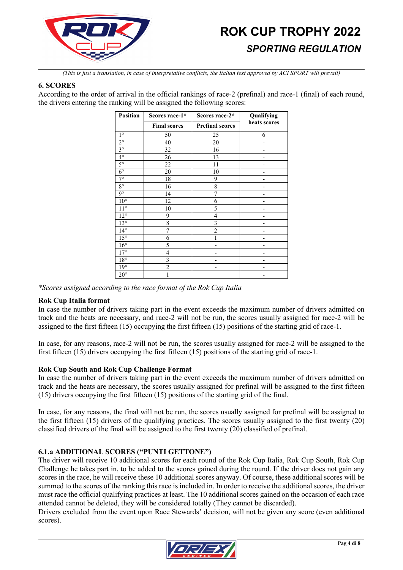

*(This is just a translation, in case of interpretative conflicts, the Italian text approved by ACI SPORT will prevail)*

#### **6. SCORES**

According to the order of arrival in the official rankings of race-2 (prefinal) and race-1 (final) of each round, the drivers entering the ranking will be assigned the following scores:

| <b>Position</b>        | Scores race-1*      | Scores race-2*         | Qualifying   |
|------------------------|---------------------|------------------------|--------------|
|                        | <b>Final scores</b> | <b>Prefinal scores</b> | heats scores |
| $1^{\circ}$            | 50                  | 25                     | 6            |
| $2^{\circ}$            | 40                  | 20                     |              |
| $3^\circ$              | 32                  | 16                     |              |
| $4^\circ$              | 26                  | 13                     |              |
| $\overline{5^{\circ}}$ | 22                  | 11                     |              |
| $6^{\circ}$            | 20                  | 10                     |              |
| $7^\circ$              | 18                  | 9                      |              |
| $8^{\circ}$            | 16                  | 8                      |              |
| $9^{\circ}$            | 14                  | 7                      |              |
| $10^{\circ}$           | 12                  | 6                      |              |
| $11^{\circ}$           | 10                  | 5                      |              |
| $12^{\circ}$           | 9                   | 4                      |              |
| $13^\circ$             | 8                   | 3                      |              |
| $14^{\circ}$           | 7                   | $\overline{2}$         |              |
| $15^{\circ}$           | 6                   |                        |              |
| $16^{\circ}$           | 5                   |                        |              |
| $17^\circ$             | 4                   |                        |              |
| $18^{\circ}$           | 3                   |                        |              |
| $19^\circ$             | $\overline{2}$      |                        |              |
| $20^{\circ}$           |                     |                        |              |

*\*Scores assigned according to the race format of the Rok Cup Italia*

# **Rok Cup Italia format**

In case the number of drivers taking part in the event exceeds the maximum number of drivers admitted on track and the heats are necessary, and race-2 will not be run, the scores usually assigned for race-2 will be assigned to the first fifteen (15) occupying the first fifteen (15) positions of the starting grid of race-1.

In case, for any reasons, race-2 will not be run, the scores usually assigned for race-2 will be assigned to the first fifteen (15) drivers occupying the first fifteen (15) positions of the starting grid of race-1.

# **Rok Cup South and Rok Cup Challenge Format**

In case the number of drivers taking part in the event exceeds the maximum number of drivers admitted on track and the heats are necessary, the scores usually assigned for prefinal will be assigned to the first fifteen (15) drivers occupying the first fifteen (15) positions of the starting grid of the final.

In case, for any reasons, the final will not be run, the scores usually assigned for prefinal will be assigned to the first fifteen (15) drivers of the qualifying practices. The scores usually assigned to the first twenty (20) classified drivers of the final will be assigned to the first twenty (20) classified of prefinal.

# **6.1.a ADDITIONAL SCORES ("PUNTI GETTONE")**

The driver will receive 10 additional scores for each round of the Rok Cup Italia, Rok Cup South, Rok Cup Challenge he takes part in, to be added to the scores gained during the round. If the driver does not gain any scores in the race, he will receive these 10 additional scores anyway. Of course, these additional scores will be summed to the scores of the ranking this race is included in. In order to receive the additional scores, the driver must race the official qualifying practices at least. The 10 additional scores gained on the occasion of each race attended cannot be deleted, they will be considered totally (They cannot be discarded).

Drivers excluded from the event upon Race Stewards' decision, will not be given any score (even additional scores).

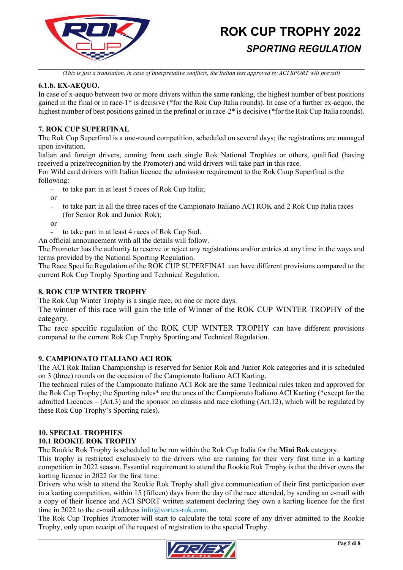

*(This is just a translation, in case of interpretative conflicts, the Italian text approved by ACI SPORT will prevail)*

#### **6.1.b. EX-AEQUO.**

In case of x-aequo between two or more drivers within the same ranking, the highest number of best positions gained in the final or in race-1\* is decisive (\*for the Rok Cup Italia rounds). In case of a further ex-aequo, the highest number of best positions gained in the prefinal or in race-2<sup>\*</sup> is decisive (\*for the Rok Cup Italia rounds).

# **7. ROK CUP SUPERFINAL**

The Rok Cup Superfinal is a one-round competition, scheduled on several days; the registrations are managed upon invitation.

Italian and foreign drivers, coming from each single Rok National Trophies or others, qualified (having received a prize/recognition by the Promoter) and wild drivers will take part in this race.

For Wild card drivers with Italian licence the admission requirement to the Rok Cuup Superfinal is the following:

- to take part in at least 5 races of Rok Cup Italia;

- or
- to take part in all the three races of the Campionato Italiano ACI ROK and 2 Rok Cup Italia races (for Senior Rok and Junior Rok);
- or
	- to take part in at least 4 races of Rok Cup Sud.

An official announcement with all the details will follow.

The Promoter has the authority to reserve or reject any registrations and/or entries at any time in the ways and terms provided by the National Sporting Regulation.

The Race Specific Regulation of the ROK CUP SUPERFINAL can have different provisions compared to the current Rok Cup Trophy Sporting and Technical Regulation.

#### **8. ROK CUP WINTER TROPHY**

The Rok Cup Winter Trophy is a single race, on one or more days.

The winner of this race will gain the title of Winner of the ROK CUP WINTER TROPHY of the category.

The race specific regulation of the ROK CUP WINTER TROPHY can have different provisions compared to the current Rok Cup Trophy Sporting and Technical Regulation.

#### **9. CAMPIONATO ITALIANO ACI ROK**

The ACI Rok Italian Championship is reserved for Senior Rok and Junior Rok categories and it is scheduled on 3 (three) rounds on the occasion of the Campionato Italiano ACI Karting.

The technical rules of the Campionato Italiano ACI Rok are the same Technical rules taken and approved for the Rok Cup Trophy; the Sporting rules\* are the ones of the Campionato Italiano ACI Karting (\*except for the admitted Licences – (Art.3) and the sponsor on chassis and race clothing (Art.12), which will be regulated by these Rok Cup Trophy's Sporting rules).

# **10. SPECIAL TROPHIES**

# **10.1 ROOKIE ROK TROPHY**

The Rookie Rok Trophy is scheduled to be run within the Rok Cup Italia for the **Mini Rok** category.

This trophy is restricted exclusively to the drivers who are running for their very first time in a karting competition in 2022 season. Essential requirement to attend the Rookie Rok Trophy is that the driver owns the karting licence in 2022 for the first time.

Drivers who wish to attend the Rookie Rok Trophy shall give communication of their first participation ever in a karting competition, within 15 (fifteen) days from the day of the race attended, by sending an e-mail with a copy of their licence and ACI SPORT written statement declaring they own a karting licence for the first time in 2022 to the e-mail address [info@vortex-rok.com.](mailto:info@vortex-rok.com)

The Rok Cup Trophies Promoter will start to calculate the total score of any driver admitted to the Rookie Trophy, only upon receipt of the request of registration to the special Trophy.

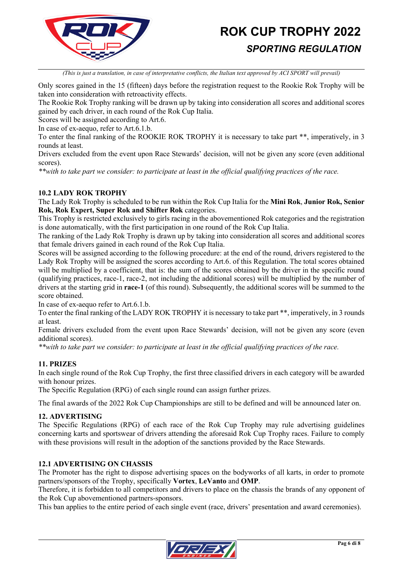

*(This is just a translation, in case of interpretative conflicts, the Italian text approved by ACI SPORT will prevail)*

Only scores gained in the 15 (fifteen) days before the registration request to the Rookie Rok Trophy will be taken into consideration with retroactivity effects.

The Rookie Rok Trophy ranking will be drawn up by taking into consideration all scores and additional scores gained by each driver, in each round of the Rok Cup Italia.

Scores will be assigned according to Art.6.

In case of ex-aequo, refer to Art.6.1.b.

To enter the final ranking of the ROOKIE ROK TROPHY it is necessary to take part \*\*, imperatively, in 3 rounds at least.

Drivers excluded from the event upon Race Stewards' decision, will not be given any score (even additional scores).

*\*\*with to take part we consider: to participate at least in the official qualifying practices of the race.*

#### **10.2 LADY ROK TROPHY**

The Lady Rok Trophy is scheduled to be run within the Rok Cup Italia for the **Mini Rok**, **Junior Rok, Senior Rok, Rok Expert, Super Rok and Shifter Rok** categories.

This Trophy is restricted exclusively to girls racing in the abovementioned Rok categories and the registration is done automatically, with the first participation in one round of the Rok Cup Italia.

The ranking of the Lady Rok Trophy is drawn up by taking into consideration all scores and additional scores that female drivers gained in each round of the Rok Cup Italia.

Scores will be assigned according to the following procedure: at the end of the round, drivers registered to the Lady Rok Trophy will be assigned the scores according to Art.6. of this Regulation. The total scores obtained will be multiplied by a coefficient, that is: the sum of the scores obtained by the driver in the specific round (qualifying practices, race-1, race-2, not including the additional scores) will be multiplied by the number of drivers at the starting grid in **race-1** (of this round). Subsequently, the additional scores will be summed to the score obtained.

In case of ex-aequo refer to Art.6.1.b.

To enter the final ranking of the LADY ROK TROPHY it is necessary to take part \*\*, imperatively, in 3 rounds at least.

Female drivers excluded from the event upon Race Stewards' decision, will not be given any score (even additional scores).

*\*\*with to take part we consider: to participate at least in the official qualifying practices of the race.*

# **11. PRIZES**

In each single round of the Rok Cup Trophy, the first three classified drivers in each category will be awarded with honour prizes.

The Specific Regulation (RPG) of each single round can assign further prizes.

The final awards of the 2022 Rok Cup Championships are still to be defined and will be announced later on.

#### **12. ADVERTISING**

The Specific Regulations (RPG) of each race of the Rok Cup Trophy may rule advertising guidelines concerning karts and sportswear of drivers attending the aforesaid Rok Cup Trophy races. Failure to comply with these provisions will result in the adoption of the sanctions provided by the Race Stewards.

#### **12.1 ADVERTISING ON CHASSIS**

The Promoter has the right to dispose advertising spaces on the bodyworks of all karts, in order to promote partners/sponsors of the Trophy, specifically **Vortex**, **LeVanto** and **OMP**.

Therefore, it is forbidden to all competitors and drivers to place on the chassis the brands of any opponent of the Rok Cup abovementioned partners-sponsors.

This ban applies to the entire period of each single event (race, drivers' presentation and award ceremonies).

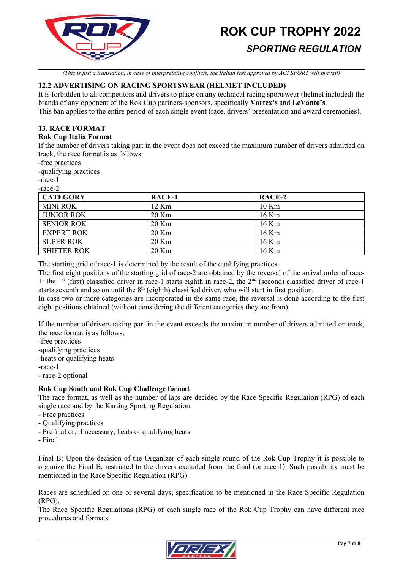

*(This is just a translation, in case of interpretative conflicts, the Italian text approved by ACI SPORT will prevail)*

# **12.2 ADVERTISING ON RACING SPORTSWEAR (HELMET INCLUDED)**

It is forbidden to all competitors and drivers to place on any technical racing sportswear (helmet included) the brands of any opponent of the Rok Cup partners-sponsors, specifically **Vortex's** and **LeVanto's**. This ban applies to the entire period of each single event (race, drivers' presentation and award ceremonies).

# **13. RACE FORMAT**

#### **Rok Cup Italia Format**

If the number of drivers taking part in the event does not exceed the maximum number of drivers admitted on track, the race format is as follows:

-free practices

-qualifying practices

-race-1

-race-2

| <b>CATEGORY</b>    | RACE-1  | RACE-2  |
|--------------------|---------|---------|
| <b>MINI ROK</b>    | 12 Km   | $10$ Km |
| <b>JUNIOR ROK</b>  | $20$ Km | 16 Km   |
| <b>SENIOR ROK</b>  | $20$ Km | 16 Km   |
| <b>EXPERT ROK</b>  | $20$ Km | 16 Km   |
| <b>SUPER ROK</b>   | $20$ Km | 16 Km   |
| <b>SHIFTER ROK</b> | 20 Km   | $16$ Km |

The starting grid of race-1 is determined by the result of the qualifying practices.

The first eight positions of the starting grid of race-2 are obtained by the reversal of the arrival order of race-1: the 1<sup>st</sup> (first) classified driver in race-1 starts eighth in race-2, the  $2<sup>nd</sup>$  (second) classified driver of race-1 starts seventh and so on until the 8<sup>th</sup> (eighth) classified driver, who will start in first position.

In case two or more categories are incorporated in the same race, the reversal is done according to the first eight positions obtained (without considering the different categories they are from).

If the number of drivers taking part in the event exceeds the maximum number of drivers admitted on track, the race format is as follows:

-free practices

-qualifying practices

-heats or qualifying heats

-race-1

- race-2 optional

# **Rok Cup South and Rok Cup Challenge format**

The race format, as well as the number of laps are decided by the Race Specific Regulation (RPG) of each single race and by the Karting Sporting Regulation.

- Free practices
- Qualifying practices
- Prefinal or, if necessary, heats or qualifying heats
- Final

Final B: Upon the decision of the Organizer of each single round of the Rok Cup Trophy it is possible to organize the Final B, restricted to the drivers excluded from the final (or race-1). Such possibility must be mentioned in the Race Specific Regulation (RPG).

Races are scheduled on one or several days; specification to be mentioned in the Race Specific Regulation (RPG).

The Race Specific Regulations (RPG) of each single race of the Rok Cup Trophy can have different race procedures and formats.